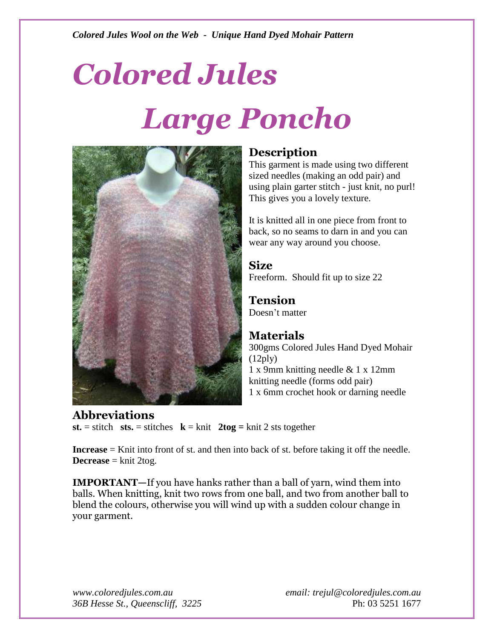# *Colored Jules Large Poncho*



### **Description**

This garment is made using two different sized needles (making an odd pair) and using plain garter stitch - just knit, no purl! This gives you a lovely texture.

It is knitted all in one piece from front to back, so no seams to darn in and you can wear any way around you choose.

**Size** Freeform. Should fit up to size 22

**Tension** Doesn't matter

#### **Materials**

300gms Colored Jules Hand Dyed Mohair  $(12ply)$ 1 x 9mm knitting needle & 1 x 12mm knitting needle (forms odd pair) 1 x 6mm crochet hook or darning needle

**Abbreviations st.** = stitch sts. = stitches  $\mathbf{k} = \text{knit } 2 \text{ to } \mathbf{g} = \text{knit } 2$  sts together

**Increase** = Knit into front of st. and then into back of st. before taking it off the needle. **Decrease**  $=$  knit 2tog.

**IMPORTANT—**If you have hanks rather than a ball of yarn, wind them into balls. When knitting, knit two rows from one ball, and two from another ball to blend the colours, otherwise you will wind up with a sudden colour change in your garment.